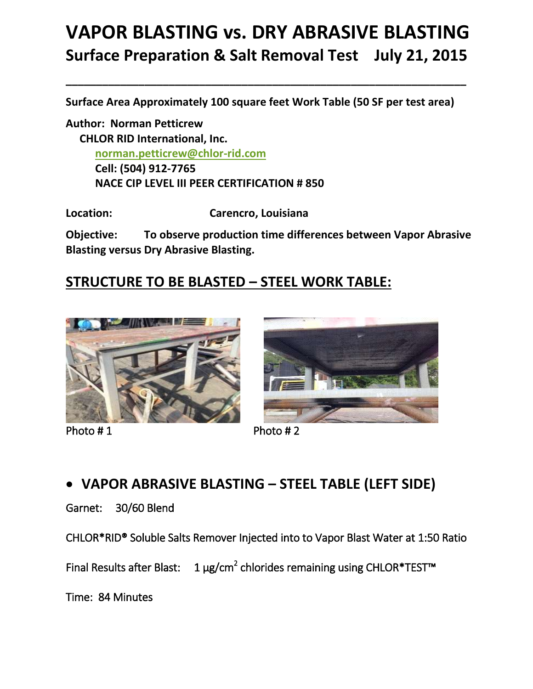# **VAPOR BLASTING vs. DRY ABRASIVE BLASTING Surface Preparation & Salt Removal Test July 21, 2015**

**Surface Area Approximately 100 square feet Work Table (50 SF per test area)**

**\_\_\_\_\_\_\_\_\_\_\_\_\_\_\_\_\_\_\_\_\_\_\_\_\_\_\_\_\_\_\_\_\_\_\_\_\_\_\_\_\_\_\_\_\_\_\_\_\_\_\_\_\_\_\_\_\_\_\_\_\_\_\_\_\_\_**

**Author: Norman Petticrew CHLOR RID International, Inc. [norman.petticrew@chlor-rid.com](mailto:norman.petticrew@chlor-rid.com) Cell: (504) 912-7765 NACE CIP LEVEL III PEER CERTIFICATION # 850**

**Location: Carencro, Louisiana**

**Objective: To observe production time differences between Vapor Abrasive Blasting versus Dry Abrasive Blasting.**

### **STRUCTURE TO BE BLASTED – STEEL WORK TABLE:**



Photo # 1 Photo # 2



## **VAPOR ABRASIVE BLASTING – STEEL TABLE (LEFT SIDE)**

Garnet: 30/60 Blend

CHLOR\*RID® Soluble Salts Remover Injected into to Vapor Blast Water at 1:50 Ratio

Final Results after Blast:  $1 \mu g/cm^2$  chlorides remaining using CHLOR\*TEST™

Time: 84 Minutes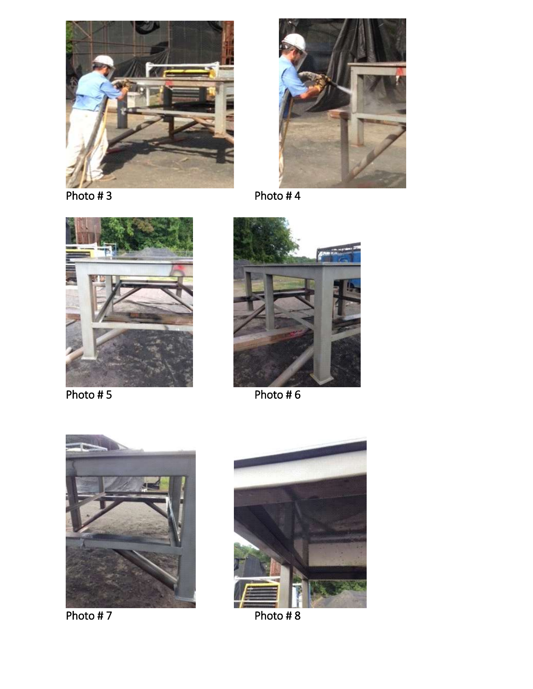







Photo # 5 Photo # 6





Photo # 7 Photo # 8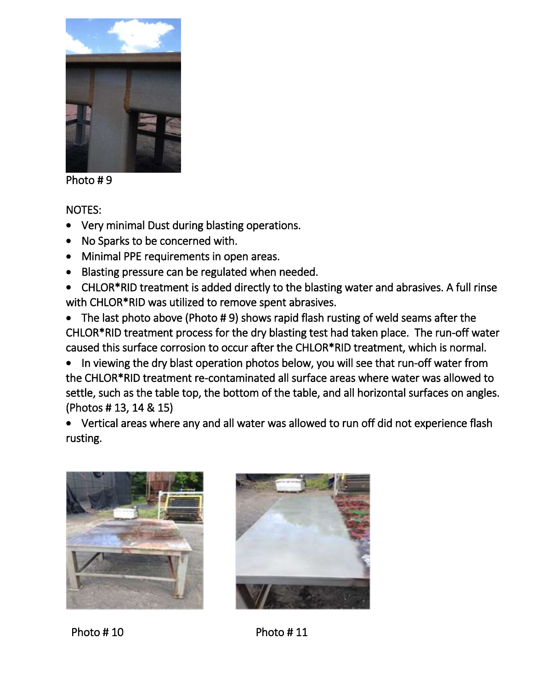

Photo # 9

NOTES:

- Very minimal Dust during blasting operations.
- No Sparks to be concerned with.
- Minimal PPE requirements in open areas.
- Blasting pressure can be regulated when needed.
- CHLOR\*RID treatment is added directly to the blasting water and abrasives. A full rinse with CHLOR\*RID was utilized to remove spent abrasives.
- The last photo above (Photo #9) shows rapid flash rusting of weld seams after the CHLOR\*RID treatment process for the dry blasting test had taken place. The run-off water caused this surface corrosion to occur after the CHLOR\*RID treatment, which is normal.
- In viewing the dry blast operation photos below, you will see that run-off water from the CHLOR\*RID treatment re-contaminated all surface areas where water was allowed to settle, such as the table top, the bottom of the table, and all horizontal surfaces on angles. (Photos # 13, 14 & 15)
- Vertical areas where any and all water was allowed to run off did not experience flash rusting.





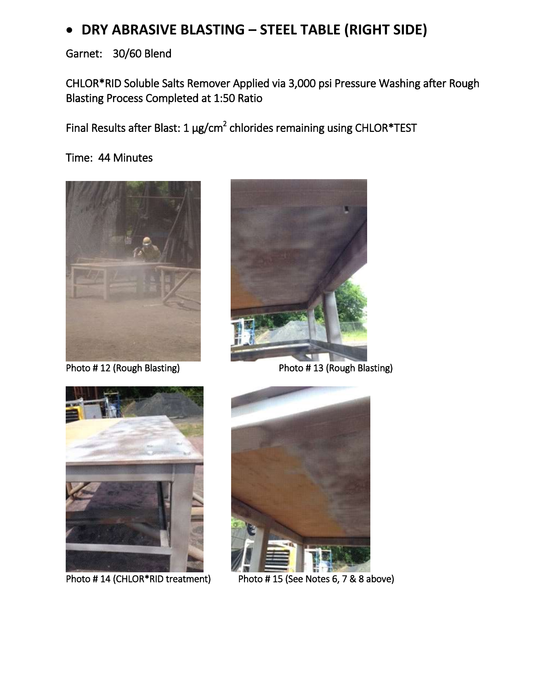## **DRY ABRASIVE BLASTING – STEEL TABLE (RIGHT SIDE)**

Garnet: 30/60 Blend

CHLOR\*RID Soluble Salts Remover Applied via 3,000 psi Pressure Washing after Rough Blasting Process Completed at 1:50 Ratio

Final Results after Blast: 1  $\mu$ g/cm<sup>2</sup> chlorides remaining using CHLOR\*TEST

Time: 44 Minutes



 $\overline{\phantom{a}}$ 



Photo # 12 (Rough Blasting) Photo # 13 (Rough Blasting)



Photo #14 (CHLOR\*RID treatment)



Photo # 15 (See Notes 6, 7 & 8 above)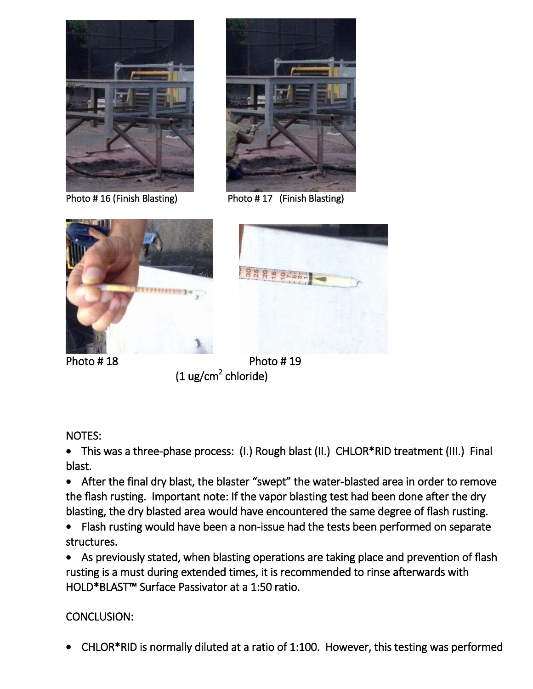



Photo # 16 (Finish Blasting) Photo # 17 (Finish Blasting)





Photo #18 Photo #19  $(1 \text{ ug/cm}^2 \text{ chloride})$ 

#### NOTES:

 This was a three-phase process: (I.) Rough blast (II.) CHLOR\*RID treatment (III.) Final blast.

 After the final dry blast, the blaster "swept" the water-blasted area in order to remove the flash rusting. Important note: If the vapor blasting test had been done after the dry blasting, the dry blasted area would have encountered the same degree of flash rusting.

 Flash rusting would have been a non-issue had the tests been performed on separate structures.

 As previously stated, when blasting operations are taking place and prevention of flash rusting is a must during extended times, it is recommended to rinse afterwards with HOLD\*BLAST™ Surface Passivator at a 1:50 ratio.

#### CONCLUSION:

CHLOR\*RID is normally diluted at a ratio of 1:100. However, this testing was performed